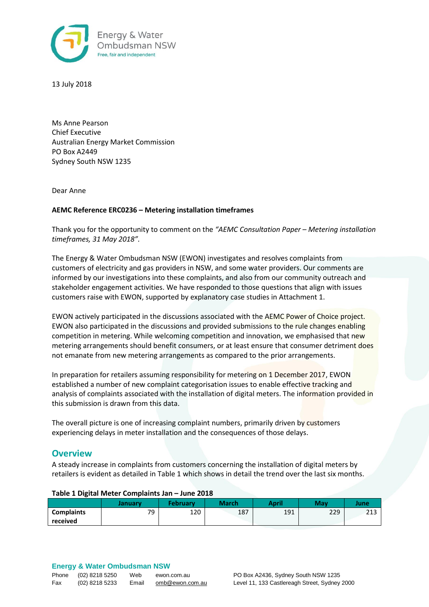

13 July 2018

Ms Anne Pearson Chief Executive Australian Energy Market Commission PO Box A2449 Sydney South NSW 1235

Dear Anne

## **AEMC Reference ERC0236 – Metering installation timeframes**

Thank you for the opportunity to comment on the *"AEMC Consultation Paper – Metering installation timeframes, 31 May 2018".*

The Energy & Water Ombudsman NSW (EWON) investigates and resolves complaints from customers of electricity and gas providers in NSW, and some water providers. Our comments are informed by our investigations into these complaints, and also from our community outreach and stakeholder engagement activities. We have responded to those questions that align with issues customers raise with EWON, supported by explanatory case studies in Attachment 1.

EWON actively participated in the discussions associated with the AEMC Power of Choice project. EWON also participated in the discussions and provided submissions to the rule changes enabling competition in metering. While welcoming competition and innovation, we emphasised that new metering arrangements should benefit consumers, or at least ensure that consumer detriment does not emanate from new metering arrangements as compared to the prior arrangements.

In preparation for retailers assuming responsibility for metering on 1 December 2017, EWON established a number of new complaint categorisation issues to enable effective tracking and analysis of complaints associated with the installation of digital meters. The information provided in this submission is drawn from this data.

The overall picture is one of increasing complaint numbers, primarily driven by customers experiencing delays in meter installation and the consequences of those delays.

# **Overview**

A steady increase in complaints from customers concerning the installation of digital meters by retailers is evident as detailed in Table 1 which shows in detail the trend over the last six months.

| Table 1 Digital Ivicter Complaints Jan - June 2010 |         |                 |              |       |     |      |  |
|----------------------------------------------------|---------|-----------------|--------------|-------|-----|------|--|
|                                                    | Januarv | <b>February</b> | <b>March</b> | April | May | June |  |
| <b>Complaints</b>                                  | 79      | 120             | 187          | 191   | 229 | 213  |  |
| received                                           |         |                 |              |       |     |      |  |

## **Table 1 Digital Meter Complaints Jan – June 2018**

# **Energy & Water Ombudsman NSW**

| Phone | (02) 8218 5250 | Web   | ewon.com.au     |
|-------|----------------|-------|-----------------|
| Fax   | (02) 8218 5233 | Email | omb@ewon.com.au |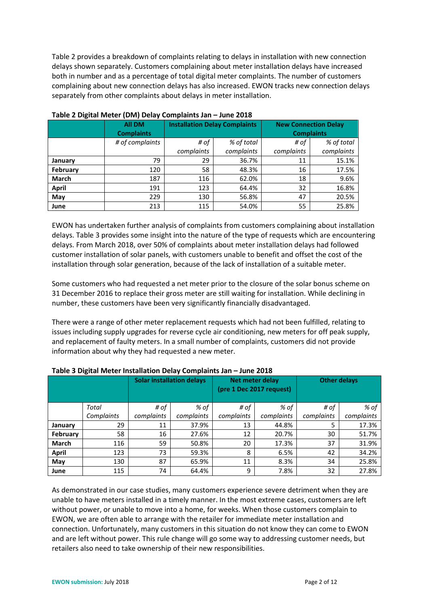Table 2 provides a breakdown of complaints relating to delays in installation with new connection delays shown separately. Customers complaining about meter installation delays have increased both in number and as a percentage of total digital meter complaints. The number of customers complaining about new connection delays has also increased. EWON tracks new connection delays separately from other complaints about delays in meter installation.

|              | All DM<br><b>Complaints</b> | <b>Installation Delay Complaints</b> |            | <b>New Connection Delay</b><br><b>Complaints</b> |            |  |
|--------------|-----------------------------|--------------------------------------|------------|--------------------------------------------------|------------|--|
|              | # of complaints             | # of                                 | % of total | # of                                             | % of total |  |
|              |                             | complaints                           | complaints | complaints                                       | complaints |  |
| January      | 79                          | 29                                   | 36.7%      | 11                                               | 15.1%      |  |
| February     | 120                         | 58                                   | 48.3%      | 16                                               | 17.5%      |  |
| <b>March</b> | 187                         | 116                                  | 62.0%      | 18                                               | 9.6%       |  |
| <b>April</b> | 191                         | 123                                  | 64.4%      | 32                                               | 16.8%      |  |
| May          | 229                         | 130                                  | 56.8%      | 47                                               | 20.5%      |  |
| June         | 213                         | 115                                  | 54.0%      | 55                                               | 25.8%      |  |

#### **Table 2 Digital Meter (DM) Delay Complaints Jan – June 2018**

EWON has undertaken further analysis of complaints from customers complaining about installation delays. Table 3 provides some insight into the nature of the type of requests which are encountering delays. From March 2018, over 50% of complaints about meter installation delays had followed customer installation of solar panels, with customers unable to benefit and offset the cost of the installation through solar generation, because of the lack of installation of a suitable meter.

Some customers who had requested a net meter prior to the closure of the solar bonus scheme on 31 December 2016 to replace their gross meter are still waiting for installation. While declining in number, these customers have been very significantly financially disadvantaged.

There were a range of other meter replacement requests which had not been fulfilled, relating to issues including supply upgrades for reverse cycle air conditioning, new meters for off peak supply, and replacement of faulty meters. In a small number of complaints, customers did not provide information about why they had requested a new meter.

| -            |            | <b>Solar installation delays</b> |            | Net meter delay<br>(pre 1 Dec 2017 request) |            | <b>Other delays</b> |            |
|--------------|------------|----------------------------------|------------|---------------------------------------------|------------|---------------------|------------|
|              | Total      | # of                             | % of       | # of                                        | % of       | # of                | % of       |
|              | Complaints | complaints                       | complaints | complaints                                  | complaints | complaints          | complaints |
| January      | 29         | 11                               | 37.9%      | 13                                          | 44.8%      |                     | 17.3%      |
| February     | 58         | 16                               | 27.6%      | 12                                          | 20.7%      | 30                  | 51.7%      |
| <b>March</b> | 116        | 59                               | 50.8%      | 20                                          | 17.3%      | 37                  | 31.9%      |
| April        | 123        | 73                               | 59.3%      | 8                                           | 6.5%       | 42                  | 34.2%      |
| May          | 130        | 87                               | 65.9%      | 11                                          | 8.3%       | 34                  | 25.8%      |
| June         | 115        | 74                               | 64.4%      | 9                                           | 7.8%       | 32                  | 27.8%      |

#### **Table 3 Digital Meter Installation Delay Complaints Jan – June 2018**

As demonstrated in our case studies, many customers experience severe detriment when they are unable to have meters installed in a timely manner. In the most extreme cases, customers are left without power, or unable to move into a home, for weeks. When those customers complain to EWON, we are often able to arrange with the retailer for immediate meter installation and connection. Unfortunately, many customers in this situation do not know they can come to EWON and are left without power. This rule change will go some way to addressing customer needs, but retailers also need to take ownership of their new responsibilities.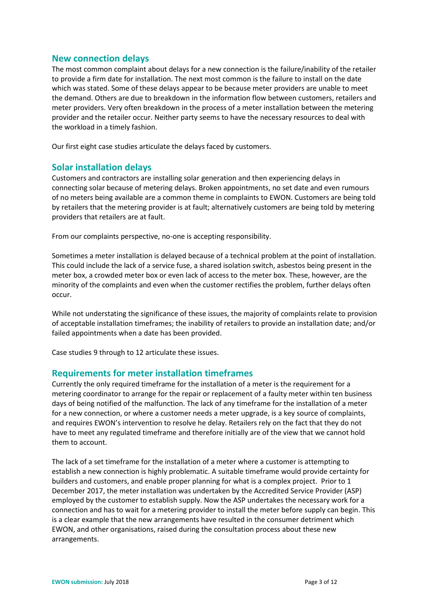# **New connection delays**

The most common complaint about delays for a new connection is the failure/inability of the retailer to provide a firm date for installation. The next most common is the failure to install on the date which was stated. Some of these delays appear to be because meter providers are unable to meet the demand. Others are due to breakdown in the information flow between customers, retailers and meter providers. Very often breakdown in the process of a meter installation between the metering provider and the retailer occur. Neither party seems to have the necessary resources to deal with the workload in a timely fashion.

Our first eight case studies articulate the delays faced by customers.

# **Solar installation delays**

Customers and contractors are installing solar generation and then experiencing delays in connecting solar because of metering delays. Broken appointments, no set date and even rumours of no meters being available are a common theme in complaints to EWON. Customers are being told by retailers that the metering provider is at fault; alternatively customers are being told by metering providers that retailers are at fault.

From our complaints perspective, no-one is accepting responsibility.

Sometimes a meter installation is delayed because of a technical problem at the point of installation. This could include the lack of a service fuse, a shared isolation switch, asbestos being present in the meter box, a crowded meter box or even lack of access to the meter box. These, however, are the minority of the complaints and even when the customer rectifies the problem, further delays often occur.

While not understating the significance of these issues, the majority of complaints relate to provision of acceptable installation timeframes; the inability of retailers to provide an installation date; and/or failed appointments when a date has been provided.

Case studies 9 through to 12 articulate these issues.

## **Requirements for meter installation timeframes**

Currently the only required timeframe for the installation of a meter is the requirement for a metering coordinator to arrange for the repair or replacement of a faulty meter within ten business days of being notified of the malfunction. The lack of any timeframe for the installation of a meter for a new connection, or where a customer needs a meter upgrade, is a key source of complaints, and requires EWON's intervention to resolve he delay. Retailers rely on the fact that they do not have to meet any regulated timeframe and therefore initially are of the view that we cannot hold them to account.

The lack of a set timeframe for the installation of a meter where a customer is attempting to establish a new connection is highly problematic. A suitable timeframe would provide certainty for builders and customers, and enable proper planning for what is a complex project. Prior to 1 December 2017, the meter installation was undertaken by the Accredited Service Provider (ASP) employed by the customer to establish supply. Now the ASP undertakes the necessary work for a connection and has to wait for a metering provider to install the meter before supply can begin. This is a clear example that the new arrangements have resulted in the consumer detriment which EWON, and other organisations, raised during the consultation process about these new arrangements.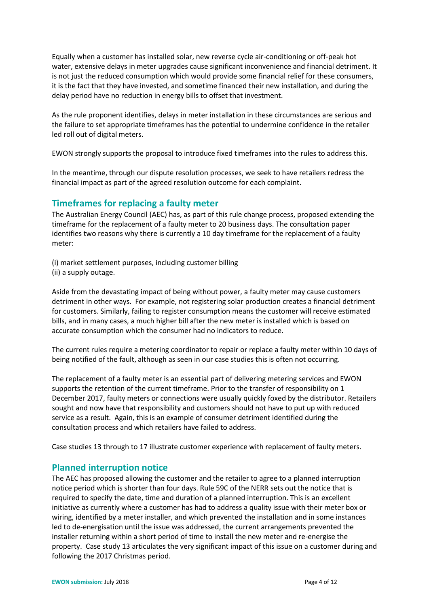Equally when a customer has installed solar, new reverse cycle air-conditioning or off-peak hot water, extensive delays in meter upgrades cause significant inconvenience and financial detriment. It is not just the reduced consumption which would provide some financial relief for these consumers, it is the fact that they have invested, and sometime financed their new installation, and during the delay period have no reduction in energy bills to offset that investment.

As the rule proponent identifies, delays in meter installation in these circumstances are serious and the failure to set appropriate timeframes has the potential to undermine confidence in the retailer led roll out of digital meters.

EWON strongly supports the proposal to introduce fixed timeframes into the rules to address this.

In the meantime, through our dispute resolution processes, we seek to have retailers redress the financial impact as part of the agreed resolution outcome for each complaint.

# **Timeframes for replacing a faulty meter**

The Australian Energy Council (AEC) has, as part of this rule change process, proposed extending the timeframe for the replacement of a faulty meter to 20 business days. The consultation paper identifies two reasons why there is currently a 10 day timeframe for the replacement of a faulty meter:

(i) market settlement purposes, including customer billing (ii) a supply outage.

Aside from the devastating impact of being without power, a faulty meter may cause customers detriment in other ways. For example, not registering solar production creates a financial detriment for customers. Similarly, failing to register consumption means the customer will receive estimated bills, and in many cases, a much higher bill after the new meter is installed which is based on accurate consumption which the consumer had no indicators to reduce.

The current rules require a metering coordinator to repair or replace a faulty meter within 10 days of being notified of the fault, although as seen in our case studies this is often not occurring.

The replacement of a faulty meter is an essential part of delivering metering services and EWON supports the retention of the current timeframe. Prior to the transfer of responsibility on 1 December 2017, faulty meters or connections were usually quickly foxed by the distributor. Retailers sought and now have that responsibility and customers should not have to put up with reduced service as a result. Again, this is an example of consumer detriment identified during the consultation process and which retailers have failed to address.

Case studies 13 through to 17 illustrate customer experience with replacement of faulty meters.

# **Planned interruption notice**

The AEC has proposed allowing the customer and the retailer to agree to a planned interruption notice period which is shorter than four days. Rule 59C of the NERR sets out the notice that is required to specify the date, time and duration of a planned interruption. This is an excellent initiative as currently where a customer has had to address a quality issue with their meter box or wiring, identified by a meter installer, and which prevented the installation and in some instances led to de-energisation until the issue was addressed, the current arrangements prevented the installer returning within a short period of time to install the new meter and re-energise the property. Case study 13 articulates the very significant impact of this issue on a customer during and following the 2017 Christmas period.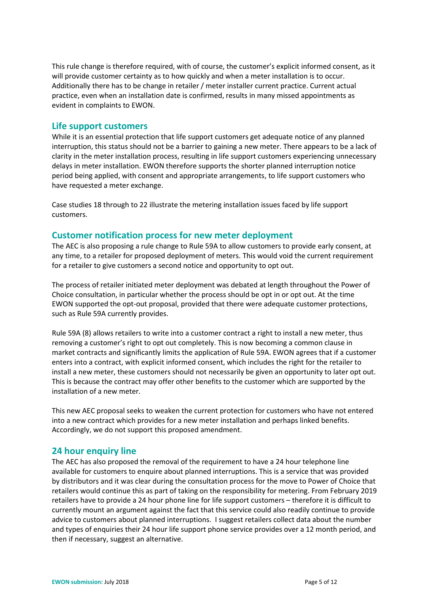This rule change is therefore required, with of course, the customer's explicit informed consent, as it will provide customer certainty as to how quickly and when a meter installation is to occur. Additionally there has to be change in retailer / meter installer current practice. Current actual practice, even when an installation date is confirmed, results in many missed appointments as evident in complaints to EWON.

# **Life support customers**

While it is an essential protection that life support customers get adequate notice of any planned interruption, this status should not be a barrier to gaining a new meter. There appears to be a lack of clarity in the meter installation process, resulting in life support customers experiencing unnecessary delays in meter installation. EWON therefore supports the shorter planned interruption notice period being applied, with consent and appropriate arrangements, to life support customers who have requested a meter exchange.

Case studies 18 through to 22 illustrate the metering installation issues faced by life support customers.

# **Customer notification process for new meter deployment**

The AEC is also proposing a rule change to Rule 59A to allow customers to provide early consent, at any time, to a retailer for proposed deployment of meters. This would void the current requirement for a retailer to give customers a second notice and opportunity to opt out.

The process of retailer initiated meter deployment was debated at length throughout the Power of Choice consultation, in particular whether the process should be opt in or opt out. At the time EWON supported the opt-out proposal, provided that there were adequate customer protections, such as Rule 59A currently provides.

Rule 59A (8) allows retailers to write into a customer contract a right to install a new meter, thus removing a customer's right to opt out completely. This is now becoming a common clause in market contracts and significantly limits the application of Rule 59A. EWON agrees that if a customer enters into a contract, with explicit informed consent, which includes the right for the retailer to install a new meter, these customers should not necessarily be given an opportunity to later opt out. This is because the contract may offer other benefits to the customer which are supported by the installation of a new meter.

This new AEC proposal seeks to weaken the current protection for customers who have not entered into a new contract which provides for a new meter installation and perhaps linked benefits. Accordingly, we do not support this proposed amendment.

# **24 hour enquiry line**

The AEC has also proposed the removal of the requirement to have a 24 hour telephone line available for customers to enquire about planned interruptions. This is a service that was provided by distributors and it was clear during the consultation process for the move to Power of Choice that retailers would continue this as part of taking on the responsibility for metering. From February 2019 retailers have to provide a 24 hour phone line for life support customers – therefore it is difficult to currently mount an argument against the fact that this service could also readily continue to provide advice to customers about planned interruptions. I suggest retailers collect data about the number and types of enquiries their 24 hour life support phone service provides over a 12 month period, and then if necessary, suggest an alternative.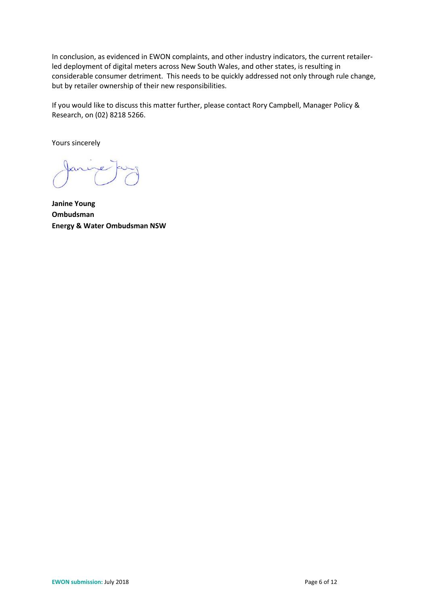In conclusion, as evidenced in EWON complaints, and other industry indicators, the current retailerled deployment of digital meters across New South Wales, and other states, is resulting in considerable consumer detriment. This needs to be quickly addressed not only through rule change, but by retailer ownership of their new responsibilities.

If you would like to discuss this matter further, please contact Rory Campbell, Manager Policy & Research, on (02) 8218 5266.

Yours sincerely

**Janine Young Ombudsman Energy & Water Ombudsman NSW**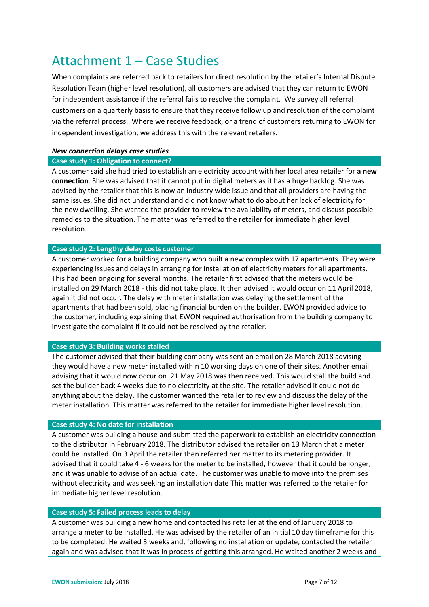# Attachment 1 – Case Studies

When complaints are referred back to retailers for direct resolution by the retailer's Internal Dispute Resolution Team (higher level resolution), all customers are advised that they can return to EWON for independent assistance if the referral fails to resolve the complaint. We survey all referral customers on a quarterly basis to ensure that they receive follow up and resolution of the complaint via the referral process. Where we receive feedback, or a trend of customers returning to EWON for independent investigation, we address this with the relevant retailers.

## *New connection delays case studies*

## **Case study 1: Obligation to connect?**

A customer said she had tried to establish an electricity account with her local area retailer for **a new connection**. She was advised that it cannot put in digital meters as it has a huge backlog. She was advised by the retailer that this is now an industry wide issue and that all providers are having the same issues. She did not understand and did not know what to do about her lack of electricity for the new dwelling. She wanted the provider to review the availability of meters, and discuss possible remedies to the situation. The matter was referred to the retailer for immediate higher level resolution.

## **Case study 2: Lengthy delay costs customer**

A customer worked for a building company who built a new complex with 17 apartments. They were experiencing issues and delays in arranging for installation of electricity meters for all apartments. This had been ongoing for several months. The retailer first advised that the meters would be installed on 29 March 2018 - this did not take place. It then advised it would occur on 11 April 2018, again it did not occur. The delay with meter installation was delaying the settlement of the apartments that had been sold, placing financial burden on the builder. EWON provided advice to the customer, including explaining that EWON required authorisation from the building company to investigate the complaint if it could not be resolved by the retailer.

## **Case study 3: Building works stalled**

The customer advised that their building company was sent an email on 28 March 2018 advising they would have a new meter installed within 10 working days on one of their sites. Another email advising that it would now occur on 21 May 2018 was then received. This would stall the build and set the builder back 4 weeks due to no electricity at the site. The retailer advised it could not do anything about the delay. The customer wanted the retailer to review and discuss the delay of the meter installation. This matter was referred to the retailer for immediate higher level resolution.

## **Case study 4: No date for installation**

A customer was building a house and submitted the paperwork to establish an electricity connection to the distributor in February 2018. The distributor advised the retailer on 13 March that a meter could be installed. On 3 April the retailer then referred her matter to its metering provider. It advised that it could take 4 - 6 weeks for the meter to be installed, however that it could be longer, and it was unable to advise of an actual date. The customer was unable to move into the premises without electricity and was seeking an installation date This matter was referred to the retailer for immediate higher level resolution.

## **Case study 5: Failed process leads to delay**

A customer was building a new home and contacted his retailer at the end of January 2018 to arrange a meter to be installed. He was advised by the retailer of an initial 10 day timeframe for this to be completed. He waited 3 weeks and, following no installation or update, contacted the retailer again and was advised that it was in process of getting this arranged. He waited another 2 weeks and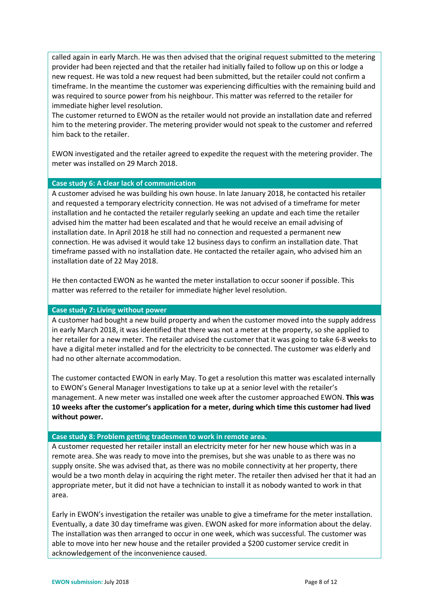called again in early March. He was then advised that the original request submitted to the metering provider had been rejected and that the retailer had initially failed to follow up on this or lodge a new request. He was told a new request had been submitted, but the retailer could not confirm a timeframe. In the meantime the customer was experiencing difficulties with the remaining build and was required to source power from his neighbour. This matter was referred to the retailer for immediate higher level resolution.

The customer returned to EWON as the retailer would not provide an installation date and referred him to the metering provider. The metering provider would not speak to the customer and referred him back to the retailer.

EWON investigated and the retailer agreed to expedite the request with the metering provider. The meter was installed on 29 March 2018.

#### **Case study 6: A clear lack of communication**

A customer advised he was building his own house. In late January 2018, he contacted his retailer and requested a temporary electricity connection. He was not advised of a timeframe for meter installation and he contacted the retailer regularly seeking an update and each time the retailer advised him the matter had been escalated and that he would receive an email advising of installation date. In April 2018 he still had no connection and requested a permanent new connection. He was advised it would take 12 business days to confirm an installation date. That timeframe passed with no installation date. He contacted the retailer again, who advised him an installation date of 22 May 2018.

He then contacted EWON as he wanted the meter installation to occur sooner if possible. This matter was referred to the retailer for immediate higher level resolution.

#### **Case study 7: Living without power**

A customer had bought a new build property and when the customer moved into the supply address in early March 2018, it was identified that there was not a meter at the property, so she applied to her retailer for a new meter. The retailer advised the customer that it was going to take 6-8 weeks to have a digital meter installed and for the electricity to be connected. The customer was elderly and had no other alternate accommodation.

The customer contacted EWON in early May. To get a resolution this matter was escalated internally to EWON's General Manager Investigations to take up at a senior level with the retailer's management. A new meter was installed one week after the customer approached EWON. **This was 10 weeks after the customer's application for a meter, during which time this customer had lived without power.**

#### **Case study 8: Problem getting tradesmen to work in remote area.**

A customer requested her retailer install an electricity meter for her new house which was in a remote area. She was ready to move into the premises, but she was unable to as there was no supply onsite. She was advised that, as there was no mobile connectivity at her property, there would be a two month delay in acquiring the right meter. The retailer then advised her that it had an appropriate meter, but it did not have a technician to install it as nobody wanted to work in that area.

Early in EWON's investigation the retailer was unable to give a timeframe for the meter installation. Eventually, a date 30 day timeframe was given. EWON asked for more information about the delay. The installation was then arranged to occur in one week, which was successful. The customer was able to move into her new house and the retailer provided a \$200 customer service credit in acknowledgement of the inconvenience caused.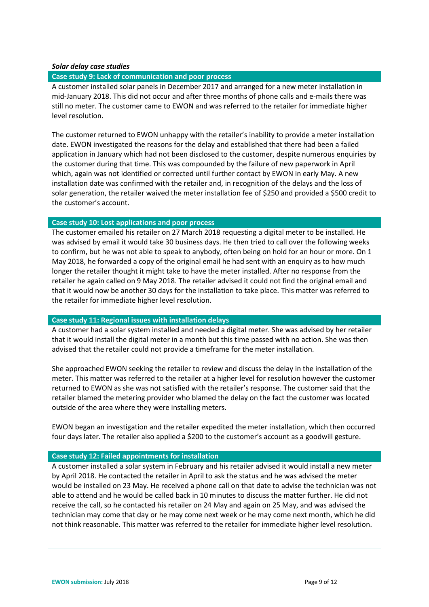#### *Solar delay case studies*

## **Case study 9: Lack of communication and poor process**

A customer installed solar panels in December 2017 and arranged for a new meter installation in mid-January 2018. This did not occur and after three months of phone calls and e-mails there was still no meter. The customer came to EWON and was referred to the retailer for immediate higher level resolution.

The customer returned to EWON unhappy with the retailer's inability to provide a meter installation date. EWON investigated the reasons for the delay and established that there had been a failed application in January which had not been disclosed to the customer, despite numerous enquiries by the customer during that time. This was compounded by the failure of new paperwork in April which, again was not identified or corrected until further contact by EWON in early May. A new installation date was confirmed with the retailer and, in recognition of the delays and the loss of solar generation, the retailer waived the meter installation fee of \$250 and provided a \$500 credit to the customer's account.

## **Case study 10: Lost applications and poor process**

The customer emailed his retailer on 27 March 2018 requesting a digital meter to be installed. He was advised by email it would take 30 business days. He then tried to call over the following weeks to confirm, but he was not able to speak to anybody, often being on hold for an hour or more. On 1 May 2018, he forwarded a copy of the original email he had sent with an enquiry as to how much longer the retailer thought it might take to have the meter installed. After no response from the retailer he again called on 9 May 2018. The retailer advised it could not find the original email and that it would now be another 30 days for the installation to take place. This matter was referred to the retailer for immediate higher level resolution.

#### **Case study 11: Regional issues with installation delays**

A customer had a solar system installed and needed a digital meter. She was advised by her retailer that it would install the digital meter in a month but this time passed with no action. She was then advised that the retailer could not provide a timeframe for the meter installation.

She approached EWON seeking the retailer to review and discuss the delay in the installation of the meter. This matter was referred to the retailer at a higher level for resolution however the customer returned to EWON as she was not satisfied with the retailer's response. The customer said that the retailer blamed the metering provider who blamed the delay on the fact the customer was located outside of the area where they were installing meters.

EWON began an investigation and the retailer expedited the meter installation, which then occurred four days later. The retailer also applied a \$200 to the customer's account as a goodwill gesture.

## **Case study 12: Failed appointments for installation**

A customer installed a solar system in February and his retailer advised it would install a new meter by April 2018. He contacted the retailer in April to ask the status and he was advised the meter would be installed on 23 May. He received a phone call on that date to advise the technician was not able to attend and he would be called back in 10 minutes to discuss the matter further. He did not receive the call, so he contacted his retailer on 24 May and again on 25 May, and was advised the technician may come that day or he may come next week or he may come next month, which he did not think reasonable. This matter was referred to the retailer for immediate higher level resolution.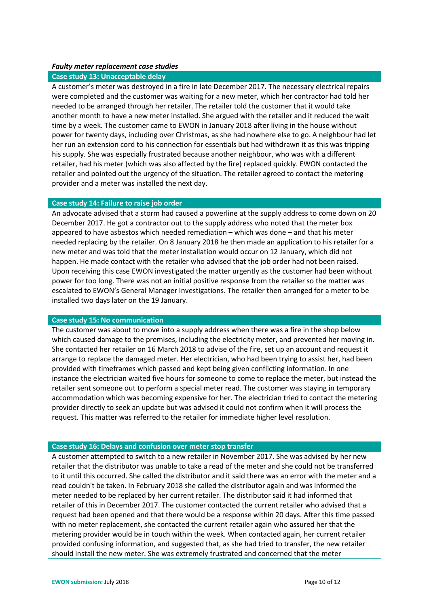#### *Faulty meter replacement case studies*

#### **Case study 13: Unacceptable delay**

A customer's meter was destroyed in a fire in late December 2017. The necessary electrical repairs were completed and the customer was waiting for a new meter, which her contractor had told her needed to be arranged through her retailer. The retailer told the customer that it would take another month to have a new meter installed. She argued with the retailer and it reduced the wait time by a week. The customer came to EWON in January 2018 after living in the house without power for twenty days, including over Christmas, as she had nowhere else to go. A neighbour had let her run an extension cord to his connection for essentials but had withdrawn it as this was tripping his supply. She was especially frustrated because another neighbour, who was with a different retailer, had his meter (which was also affected by the fire) replaced quickly. EWON contacted the retailer and pointed out the urgency of the situation. The retailer agreed to contact the metering provider and a meter was installed the next day.

## **Case study 14: Failure to raise job order**

An advocate advised that a storm had caused a powerline at the supply address to come down on 20 December 2017. He got a contractor out to the supply address who noted that the meter box appeared to have asbestos which needed remediation – which was done – and that his meter needed replacing by the retailer. On 8 January 2018 he then made an application to his retailer for a new meter and was told that the meter installation would occur on 12 January, which did not happen. He made contact with the retailer who advised that the job order had not been raised. Upon receiving this case EWON investigated the matter urgently as the customer had been without power for too long. There was not an initial positive response from the retailer so the matter was escalated to EWON's General Manager Investigations. The retailer then arranged for a meter to be installed two days later on the 19 January.

#### **Case study 15: No communication**

The customer was about to move into a supply address when there was a fire in the shop below which caused damage to the premises, including the electricity meter, and prevented her moving in. She contacted her retailer on 16 March 2018 to advise of the fire, set up an account and request it arrange to replace the damaged meter. Her electrician, who had been trying to assist her, had been provided with timeframes which passed and kept being given conflicting information. In one instance the electrician waited five hours for someone to come to replace the meter, but instead the retailer sent someone out to perform a special meter read. The customer was staying in temporary accommodation which was becoming expensive for her. The electrician tried to contact the metering provider directly to seek an update but was advised it could not confirm when it will process the request. This matter was referred to the retailer for immediate higher level resolution.

#### **Case study 16: Delays and confusion over meter stop transfer**

A customer attempted to switch to a new retailer in November 2017. She was advised by her new retailer that the distributor was unable to take a read of the meter and she could not be transferred to it until this occurred. She called the distributor and it said there was an error with the meter and a read couldn't be taken. In February 2018 she called the distributor again and was informed the meter needed to be replaced by her current retailer. The distributor said it had informed that retailer of this in December 2017. The customer contacted the current retailer who advised that a request had been opened and that there would be a response within 20 days. After this time passed with no meter replacement, she contacted the current retailer again who assured her that the metering provider would be in touch within the week. When contacted again, her current retailer provided confusing information, and suggested that, as she had tried to transfer, the new retailer should install the new meter. She was extremely frustrated and concerned that the meter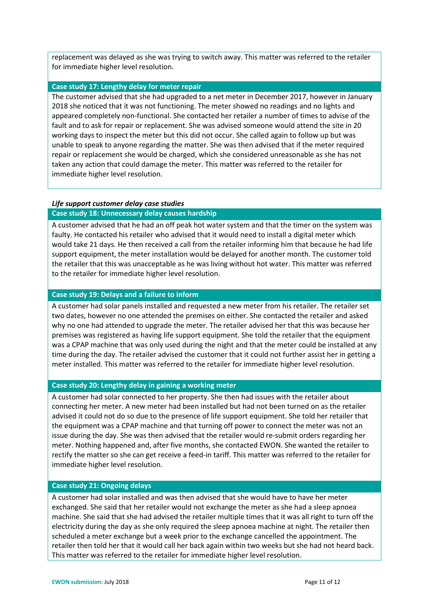replacement was delayed as she was trying to switch away. This matter was referred to the retailer for immediate higher level resolution.

#### **Case study 17: Lengthy delay for meter repair**

The customer advised that she had upgraded to a net meter in December 2017, however in January 2018 she noticed that it was not functioning. The meter showed no readings and no lights and appeared completely non-functional. She contacted her retailer a number of times to advise of the fault and to ask for repair or replacement. She was advised someone would attend the site in 20 working days to inspect the meter but this did not occur. She called again to follow up but was unable to speak to anyone regarding the matter. She was then advised that if the meter required repair or replacement she would be charged, which she considered unreasonable as she has not taken any action that could damage the meter. This matter was referred to the retailer for immediate higher level resolution.

## *Life support customer delay case studies*

#### **Case study 18: Unnecessary delay causes hardship**

A customer advised that he had an off peak hot water system and that the timer on the system was faulty. He contacted his retailer who advised that it would need to install a digital meter which would take 21 days. He then received a call from the retailer informing him that because he had life support equipment, the meter installation would be delayed for another month. The customer told the retailer that this was unacceptable as he was living without hot water. This matter was referred to the retailer for immediate higher level resolution.

#### **Case study 19: Delays and a failure to inform**

A customer had solar panels installed and requested a new meter from his retailer. The retailer set two dates, however no one attended the premises on either. She contacted the retailer and asked why no one had attended to upgrade the meter. The retailer advised her that this was because her premises was registered as having life support equipment. She told the retailer that the equipment was a CPAP machine that was only used during the night and that the meter could be installed at any time during the day. The retailer advised the customer that it could not further assist her in getting a meter installed. This matter was referred to the retailer for immediate higher level resolution.

#### **Case study 20: Lengthy delay in gaining a working meter**

A customer had solar connected to her property. She then had issues with the retailer about connecting her meter. A new meter had been installed but had not been turned on as the retailer advised it could not do so due to the presence of life support equipment. She told her retailer that the equipment was a CPAP machine and that turning off power to connect the meter was not an issue during the day. She was then advised that the retailer would re-submit orders regarding her meter. Nothing happened and, after five months, she contacted EWON. She wanted the retailer to rectify the matter so she can get receive a feed-in tariff. This matter was referred to the retailer for immediate higher level resolution.

#### **Case study 21: Ongoing delays**

A customer had solar installed and was then advised that she would have to have her meter exchanged. She said that her retailer would not exchange the meter as she had a sleep apnoea machine. She said that she had advised the retailer multiple times that it was all right to turn off the electricity during the day as she only required the sleep apnoea machine at night. The retailer then scheduled a meter exchange but a week prior to the exchange cancelled the appointment. The retailer then told her that it would call her back again within two weeks but she had not heard back. This matter was referred to the retailer for immediate higher level resolution.